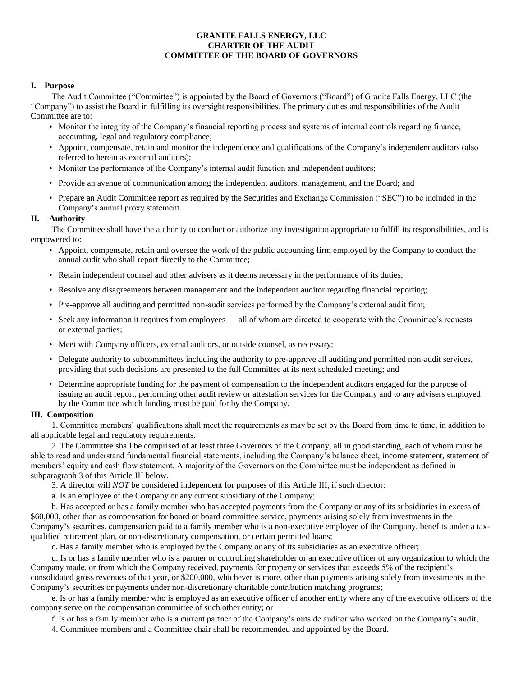## **GRANITE FALLS ENERGY, LLC CHARTER OF THE AUDIT COMMITTEE OF THE BOARD OF GOVERNORS**

### **I. Purpose**

The Audit Committee ("Committee") is appointed by the Board of Governors ("Board") of Granite Falls Energy, LLC (the "Company") to assist the Board in fulfilling its oversight responsibilities. The primary duties and responsibilities of the Audit Committee are to:

- Monitor the integrity of the Company's financial reporting process and systems of internal controls regarding finance, accounting, legal and regulatory compliance;
- Appoint, compensate, retain and monitor the independence and qualifications of the Company's independent auditors (also referred to herein as external auditors);
- Monitor the performance of the Company's internal audit function and independent auditors;
- Provide an avenue of communication among the independent auditors, management, and the Board; and
- Prepare an Audit Committee report as required by the Securities and Exchange Commission ("SEC") to be included in the Company's annual proxy statement.

### **II. Authority**

The Committee shall have the authority to conduct or authorize any investigation appropriate to fulfill its responsibilities, and is empowered to:

- Appoint, compensate, retain and oversee the work of the public accounting firm employed by the Company to conduct the annual audit who shall report directly to the Committee;
- Retain independent counsel and other advisers as it deems necessary in the performance of its duties;
- Resolve any disagreements between management and the independent auditor regarding financial reporting;
- Pre-approve all auditing and permitted non-audit services performed by the Company's external audit firm;
- Seek any information it requires from employees all of whom are directed to cooperate with the Committee's requests or external parties;
- Meet with Company officers, external auditors, or outside counsel, as necessary;
- Delegate authority to subcommittees including the authority to pre-approve all auditing and permitted non-audit services, providing that such decisions are presented to the full Committee at its next scheduled meeting; and
- Determine appropriate funding for the payment of compensation to the independent auditors engaged for the purpose of issuing an audit report, performing other audit review or attestation services for the Company and to any advisers employed by the Committee which funding must be paid for by the Company.

#### **III. Composition**

1. Committee members' qualifications shall meet the requirements as may be set by the Board from time to time, in addition to all applicable legal and regulatory requirements.

2. The Committee shall be comprised of at least three Governors of the Company, all in good standing, each of whom must be able to read and understand fundamental financial statements, including the Company's balance sheet, income statement, statement of members' equity and cash flow statement. A majority of the Governors on the Committee must be independent as defined in subparagraph 3 of this Article III below.

3. A director will *NOT* be considered independent for purposes of this Article III, if such director:

a. Is an employee of the Company or any current subsidiary of the Company;

b. Has accepted or has a family member who has accepted payments from the Company or any of its subsidiaries in excess of \$60,000, other than as compensation for board or board committee service, payments arising solely from investments in the Company's securities, compensation paid to a family member who is a non-executive employee of the Company, benefits under a taxqualified retirement plan, or non-discretionary compensation, or certain permitted loans;

c. Has a family member who is employed by the Company or any of its subsidiaries as an executive officer;

d. Is or has a family member who is a partner or controlling shareholder or an executive officer of any organization to which the Company made, or from which the Company received, payments for property or services that exceeds 5% of the recipient's consolidated gross revenues of that year, or \$200,000, whichever is more, other than payments arising solely from investments in the Company's securities or payments under non-discretionary charitable contribution matching programs;

e. Is or has a family member who is employed as an executive officer of another entity where any of the executive officers of the company serve on the compensation committee of such other entity; or

f. Is or has a family member who is a current partner of the Company's outside auditor who worked on the Company's audit;

4. Committee members and a Committee chair shall be recommended and appointed by the Board.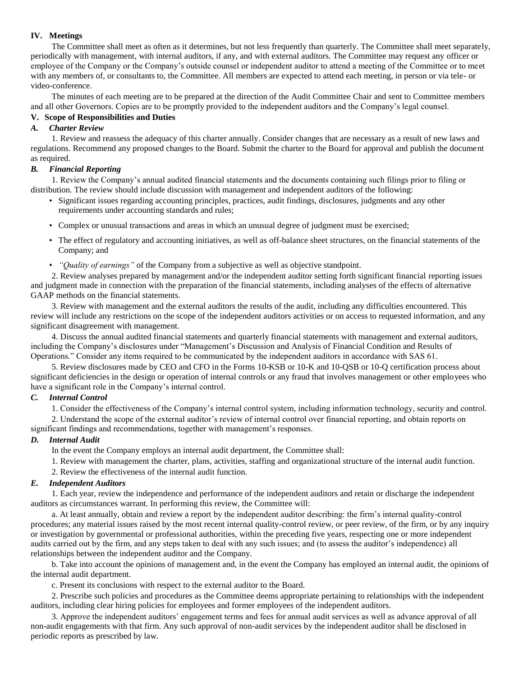## **IV. Meetings**

The Committee shall meet as often as it determines, but not less frequently than quarterly. The Committee shall meet separately, periodically with management, with internal auditors, if any, and with external auditors. The Committee may request any officer or employee of the Company or the Company's outside counsel or independent auditor to attend a meeting of the Committee or to meet with any members of, or consultants to, the Committee. All members are expected to attend each meeting, in person or via tele- or video-conference.

The minutes of each meeting are to be prepared at the direction of the Audit Committee Chair and sent to Committee members and all other Governors. Copies are to be promptly provided to the independent auditors and the Company's legal counsel.

## **V. Scope of Responsibilities and Duties**

## *A. Charter Review*

1. Review and reassess the adequacy of this charter annually. Consider changes that are necessary as a result of new laws and regulations. Recommend any proposed changes to the Board. Submit the charter to the Board for approval and publish the document as required.

## *B. Financial Reporting*

1. Review the Company's annual audited financial statements and the documents containing such filings prior to filing or distribution. The review should include discussion with management and independent auditors of the following:

- Significant issues regarding accounting principles, practices, audit findings, disclosures, judgments and any other requirements under accounting standards and rules;
- Complex or unusual transactions and areas in which an unusual degree of judgment must be exercised;
- The effect of regulatory and accounting initiatives, as well as off-balance sheet structures, on the financial statements of the Company; and
- *"Quality of earnings"* of the Company from a subjective as well as objective standpoint.

2. Review analyses prepared by management and/or the independent auditor setting forth significant financial reporting issues and judgment made in connection with the preparation of the financial statements, including analyses of the effects of alternative GAAP methods on the financial statements.

3. Review with management and the external auditors the results of the audit, including any difficulties encountered. This review will include any restrictions on the scope of the independent auditors activities or on access to requested information, and any significant disagreement with management.

4. Discuss the annual audited financial statements and quarterly financial statements with management and external auditors, including the Company's disclosures under "Management's Discussion and Analysis of Financial Condition and Results of Operations." Consider any items required to be communicated by the independent auditors in accordance with SAS 61.

5. Review disclosures made by CEO and CFO in the Forms 10-KSB or 10-K and 10-QSB or 10-Q certification process about significant deficiencies in the design or operation of internal controls or any fraud that involves management or other employees who have a significant role in the Company's internal control.

## *C. Internal Control*

1. Consider the effectiveness of the Company's internal control system, including information technology, security and control.

2. Understand the scope of the external auditor's review of internal control over financial reporting, and obtain reports on significant findings and recommendations, together with management's responses.

# *D. Internal Audit*

In the event the Company employs an internal audit department, the Committee shall:

- 1. Review with management the charter, plans, activities, staffing and organizational structure of the internal audit function.
- 2. Review the effectiveness of the internal audit function.

# *E. Independent Auditors*

1. Each year, review the independence and performance of the independent auditors and retain or discharge the independent auditors as circumstances warrant. In performing this review, the Committee will:

a. At least annually, obtain and review a report by the independent auditor describing: the firm's internal quality-control procedures; any material issues raised by the most recent internal quality-control review, or peer review, of the firm, or by any inquiry or investigation by governmental or professional authorities, within the preceding five years, respecting one or more independent audits carried out by the firm, and any steps taken to deal with any such issues; and (to assess the auditor's independence) all relationships between the independent auditor and the Company.

b. Take into account the opinions of management and, in the event the Company has employed an internal audit, the opinions of the internal audit department.

c. Present its conclusions with respect to the external auditor to the Board.

2. Prescribe such policies and procedures as the Committee deems appropriate pertaining to relationships with the independent auditors, including clear hiring policies for employees and former employees of the independent auditors.

3. Approve the independent auditors' engagement terms and fees for annual audit services as well as advance approval of all non-audit engagements with that firm. Any such approval of non-audit services by the independent auditor shall be disclosed in periodic reports as prescribed by law.